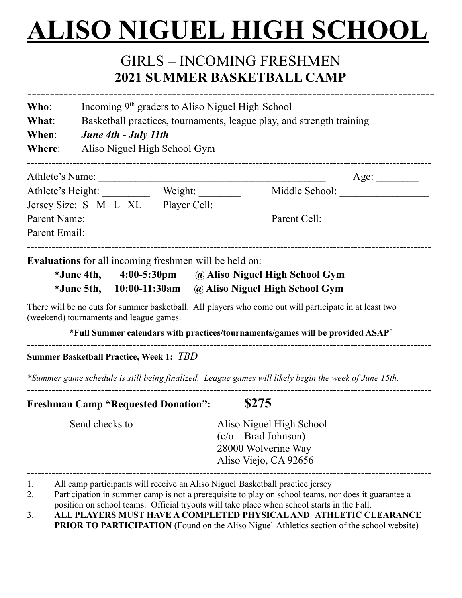## **ALISO NIGUEL HIGH SCHOOL**

## GIRLS – INCOMING FRESHMEN **2021 SUMMER BASKETBALL CAMP**

| Who:                                                                              | Incoming 9 <sup>th</sup> graders to Aliso Niguel High School<br>Basketball practices, tournaments, league play, and strength training<br>June 4th - July 11th |                                                                                                                                                                                                                               |                                                                                                                                                                                                                                                     |      |  |
|-----------------------------------------------------------------------------------|---------------------------------------------------------------------------------------------------------------------------------------------------------------|-------------------------------------------------------------------------------------------------------------------------------------------------------------------------------------------------------------------------------|-----------------------------------------------------------------------------------------------------------------------------------------------------------------------------------------------------------------------------------------------------|------|--|
| What:                                                                             |                                                                                                                                                               |                                                                                                                                                                                                                               |                                                                                                                                                                                                                                                     |      |  |
| When:                                                                             |                                                                                                                                                               |                                                                                                                                                                                                                               |                                                                                                                                                                                                                                                     |      |  |
| Where:                                                                            | Aliso Niguel High School Gym                                                                                                                                  |                                                                                                                                                                                                                               |                                                                                                                                                                                                                                                     |      |  |
|                                                                                   |                                                                                                                                                               | Athlete's Name:                                                                                                                                                                                                               |                                                                                                                                                                                                                                                     | Age: |  |
| Athlete's Height: _____________ Weight: ____________ Middle School: _____________ |                                                                                                                                                               |                                                                                                                                                                                                                               |                                                                                                                                                                                                                                                     |      |  |
|                                                                                   |                                                                                                                                                               | Jersey Size: S M L XL Player Cell:                                                                                                                                                                                            |                                                                                                                                                                                                                                                     |      |  |
|                                                                                   | Parent Cell:                                                                                                                                                  |                                                                                                                                                                                                                               |                                                                                                                                                                                                                                                     |      |  |
|                                                                                   |                                                                                                                                                               | Parent Email: No. 1996. The Commission of the Commission of the Commission of the Commission of the Commission of the Commission of the Commission of the Commission of the Commission of the Commission of the Commission of |                                                                                                                                                                                                                                                     |      |  |
|                                                                                   |                                                                                                                                                               | <b>Evaluations</b> for all incoming freshmen will be held on:                                                                                                                                                                 | *June 4th, 4:00-5:30pm @ Aliso Niguel High School Gym                                                                                                                                                                                               |      |  |
|                                                                                   | (weekend) tournaments and league games.                                                                                                                       |                                                                                                                                                                                                                               | *June 5th, 10:00-11:30am @ Aliso Niguel High School Gym<br>There will be no cuts for summer basketball. All players who come out will participate in at least two<br>*Full Summer calendars with practices/tournaments/games will be provided ASAP* |      |  |
|                                                                                   | <b>Summer Basketball Practice, Week 1: TBD</b>                                                                                                                |                                                                                                                                                                                                                               |                                                                                                                                                                                                                                                     |      |  |
|                                                                                   |                                                                                                                                                               |                                                                                                                                                                                                                               | *Summer game schedule is still being finalized. League games will likely begin the week of June 15th.                                                                                                                                               |      |  |
|                                                                                   | <b>Freshman Camp "Requested Donation":</b>                                                                                                                    |                                                                                                                                                                                                                               | \$275                                                                                                                                                                                                                                               |      |  |
|                                                                                   |                                                                                                                                                               |                                                                                                                                                                                                                               |                                                                                                                                                                                                                                                     |      |  |
|                                                                                   |                                                                                                                                                               | Send checks to <b>Aliso</b> Niguel High School                                                                                                                                                                                | $(c/o - Brad Johnson)$                                                                                                                                                                                                                              |      |  |
|                                                                                   |                                                                                                                                                               |                                                                                                                                                                                                                               | 28000 Wolverine Way<br>Aliso Viejo, CA 92656                                                                                                                                                                                                        |      |  |

- 2. Participation in summer camp is not a prerequisite to play on school teams, nor does it guarantee a position on school teams. Official tryouts will take place when school starts in the Fall.
- 3. **ALL PLAYERS MUST HAVE A COMPLETED PHYSICAL AND ATHLETIC CLEARANCE PRIOR TO PARTICIPATION** (Found on the Aliso Niguel Athletics section of the school website)